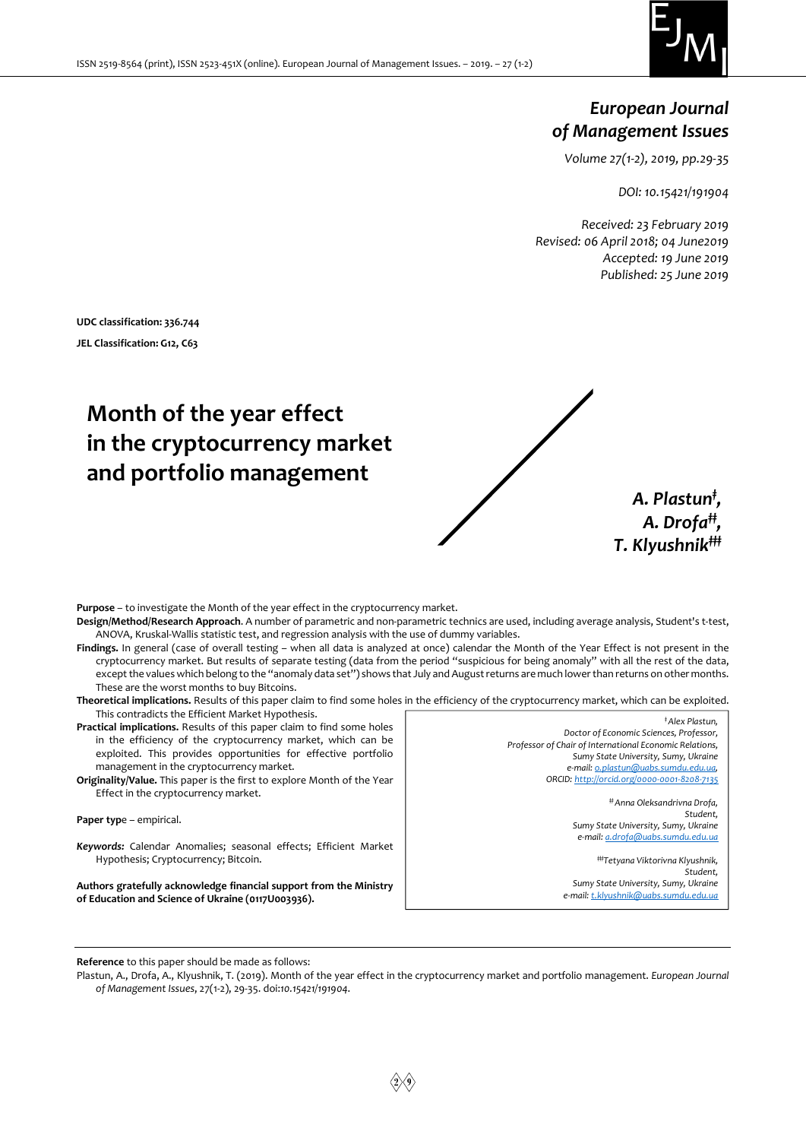

# European Journal of Management Issues

Volume 27(1-2), 2019, pp.29-35

DOI: 10.15421/191904

A. Plastun<sup>‡</sup>, A. Drofa<sup>#</sup>,

Received: 23 February 2019 Revised: 06 April 2018; 04 June2019 Accepted: 19 June 2019 Published: 25 June 2019

UDC classification: 336.744 JEL Classification: G12, C63

# Month of the year effect in the cryptocurrency market and portfolio management



- Purpose to investigate the Month of the year effect in the cryptocurrency market. Design/Method/Research Approach. A number of parametric and non-parametric technics are used, including average analysis, Student's t-test, ANOVA, Kruskal-Wallis statistic test, and regression analysis with the use of dummy variables.
- Findings. In general (case of overall testing when all data is analyzed at once) calendar the Month of the Year Effect is not present in the cryptocurrency market. But results of separate testing (data from the period "suspicious for being anomaly" with all the rest of the data, except the values which belong to the "anomaly data set") shows that July and August returns are much lower than returns on other months. These are the worst months to buy Bitcoins.
- Theoretical implications. Results of this paper claim to find some holes in the efficiency of the cryptocurrency market, which can be exploited. This contradicts the Efficient Market Hypothesis. ‡ Alex Plastun,
- Practical implications. Results of this paper claim to find some holes in the efficiency of the cryptocurrency market, which can be exploited. This provides opportunities for effective portfolio management in the cryptocurrency market.
- Originality/Value. This paper is the first to explore Month of the Year Effect in the cryptocurrency market.

Paper type - empirical.

Keywords: Calendar Anomalies; seasonal effects; Efficient Market Hypothesis; Cryptocurrency; Bitcoin.

Authors gratefully acknowledge financial support from the Ministry of Education and Science of Ukraine (0117U003936).

Doctor of Economic Sciences, Professor, Professor of Chair of International Economic Relations, Sumy State University, Sumy, Ukraine e-mail: o.plastun@uabs.sumdu.edu.ua, ORCID: http://orcid.org/0000-0001-8208-7135 ‡‡ Anna Oleksandrivna Drofa, Student,

Sumy State University, Sumy, Ukraine e-mail: a.drofa@uabs.sumdu.edu.ua

#Tetyana Viktorivna Klyushnik, Student, Sumy State University, Sumy, Ukraine e-mail: t.klyushnik@uabs.sumdu.edu.ua

Reference to this paper should be made as follows:

Plastun, A., Drofa, A., Klyushnik, T. (2019). Month of the year effect in the cryptocurrency market and portfolio management. European Journal of Management Issues, 27(1-2), 29-35. doi:10.15421/191904.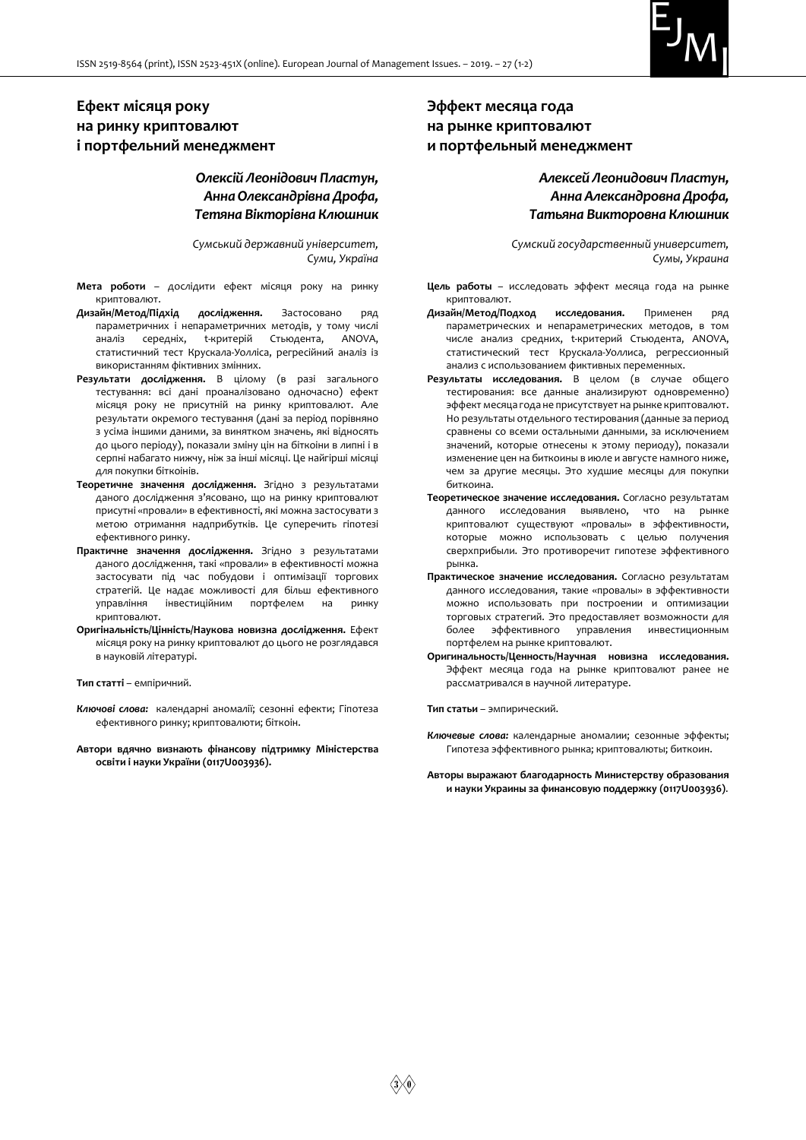

# Ефект місяця року на ринку криптовалют і портфельний менеджмент

# Олексій Леонідович Пластун, Анна Олександрівна Дрофа, Тетяна Вікторівна Клюшник

Сумський державний університет, Суми, Україна

- Мета роботи дослідити ефект місяця року на ринку криптовалют.
- Дизайн/Метод/Підхід дослідження. Застосовано ряд параметричних і непараметричних методів, у тому числі аналіз середніх, t-критерій Стьюдента, ANOVA, статистичний тест Крускала-Уолліса, регресійний аналіз із використанням фіктивних змінних.
- Результати дослідження. В цілому (в разі загального тестування: всі дані проаналізовано одночасно) ефект місяця року не присутній на ринку криптовалют. Але результати окремого тестування (дані за період порівняно з усіма іншими даними, за винятком значень, які відносять до цього періоду), показали зміну цін на біткоіни в липні і в серпні набагато нижчу, ніж за інші місяці. Це найгірші місяці для покупки біткоінів.
- Теоретичне значення дослідження. Згідно з результатами даного дослідження з'ясовано, що на ринку криптовалют присутні «провали» в ефективності, які можна застосувати з метою отримання надприбутків. Це суперечить гіпотезі ефективного ринку.
- Практичне значення дослідження. Згідно з результатами даного дослідження, такі «провали» в ефективності можна застосувати під час побудови і оптимізації торгових стратегій. Це надає можливості для більш ефективного управління інвестиційним портфелем на ринку криптовалют.
- Оригінальність/Цінність/Наукова новизна дослідження. Ефект місяця року на ринку криптовалют до цього не розглядався в науковій літературі.

Тип статті – емпіричний.

- Ключові слова: календарні аномалії; сезонні ефекти; Гіпотеза ефективного ринку; криптовалюти; біткоін.
- Автори вдячно визнають фінансову підтримку Міністерства освіти і науки України (0117U003936).

# Эффект месяца года на рынке криптовалют и портфельный менеджмент

# Алексей Леонидович Пластун, Анна Александровна Дрофа, Татьяна Викторовна Клюшник

Сумский государственный университет, Сумы, Украина

- Цель работы исследовать эффект месяца года на рынке криптовалют.
- Дизайн/Метод/Подход исследования. Применен ряд параметрических и непараметрических методов, в том числе анализ средних, t-критерий Стьюдента, ANOVA, статистический тест Крускала-Уоллиса, регрессионный анализ с использованием фиктивных переменных.
- Результаты исследования. В целом (в случае общего тестирования: все данные анализируют одновременно) эффект месяца года не присутствует на рынке криптовалют. Но результаты отдельного тестирования (данные за период сравнены со всеми остальными данными, за исключением значений, которые отнесены к этому периоду), показали изменение цен на биткоины в июле и августе намного ниже, чем за другие месяцы. Это худшие месяцы для покупки биткоина.
- Теоретическое значение исследования. Согласно результатам данного исследования выявлено, что на рынке криптовалют существуют «провалы» в эффективности, которые можно использовать с целью получения сверхприбыли. Это противоречит гипотезе эффективного рынка.
- Практическое значение исследования. Согласно результатам данного исследования, такие «провалы» в эффективности можно использовать при построении и оптимизации торговых стратегий. Это предоставляет возможности для более эффективного управления инвестиционным портфелем на рынке криптовалют.
- Оригинальность/Ценность/Научная новизна исследования. Эффект месяца года на рынке криптовалют ранее не рассматривался в научной литературе.

Тип статьи – эмпирический.

- Ключевые слова: календарные аномалии; сезонные эффекты; Гипотеза эффективного рынка; криптовалюты; биткоин.
- Авторы выражают благодарность Министерству образования и науки Украины за финансовую поддержку (0117U003936).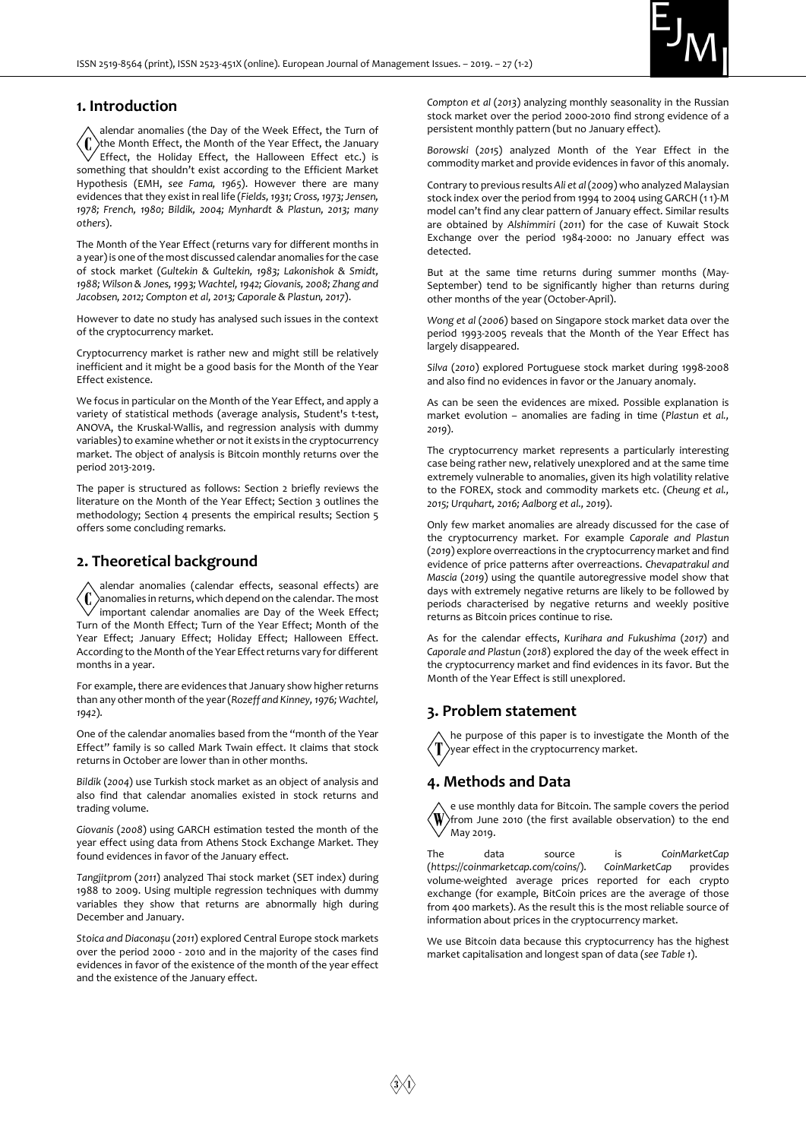

# 1. Introduction

alendar anomalies (the Day of the Week Effect, the Turn of Έ the Month Effect, the Month of the Year Effect, the January Effect, the Holiday Effect, the Halloween Effect etc.) is something that shouldn't exist according to the Efficient Market Hypothesis (EMH, see Fama, 1965). However there are many evidences that they exist in real life (Fields, 1931; Cross, 1973; Jensen, 1978; French, 1980; Bildik, 2004; Mynhardt & Plastun, 2013; many others).

The Month of the Year Effect (returns vary for different months in a year) is one of the most discussed calendar anomalies for the case of stock market (Gultekin & Gultekin, 1983; Lakonishok & Smidt, 1988; Wilson & Jones, 1993; Wachtel, 1942; Giovanis, 2008; Zhang and Jacobsen, 2012; Compton et al, 2013; Caporale & Plastun, 2017).

However to date no study has analysed such issues in the context of the cryptocurrency market.

Cryptocurrency market is rather new and might still be relatively inefficient and it might be a good basis for the Month of the Year Effect existence.

We focus in particular on the Month of the Year Effect, and apply a variety of statistical methods (average analysis, Student's t-test, ANOVA, the Kruskal-Wallis, and regression analysis with dummy variables) to examine whether or not it exists in the cryptocurrency market. The object of analysis is Bitcoin monthly returns over the period 2013-2019.

The paper is structured as follows: Section 2 briefly reviews the literature on the Month of the Year Effect; Section 3 outlines the methodology; Section 4 presents the empirical results; Section 5 offers some concluding remarks.

# 2. Theoretical background

alendar anomalies (calendar effects, seasonal effects) are (C anomalies in returns, which depend on the calendar. The most important calendar anomalies are Day of the Week Effect; Turn of the Month Effect; Turn of the Year Effect; Month of the Year Effect; January Effect; Holiday Effect; Halloween Effect. According to the Month of the Year Effect returns vary for different months in a year.

For example, there are evidences that January show higher returns than any other month of the year (Rozeff and Kinney, 1976; Wachtel, 1942).

One of the calendar anomalies based from the "month of the Year Effect" family is so called Mark Twain effect. It claims that stock returns in October are lower than in other months.

Bildik (2004) use Turkish stock market as an object of analysis and also find that calendar anomalies existed in stock returns and trading volume.

Giovanis (2008) using GARCH estimation tested the month of the year effect using data from Athens Stock Exchange Market. They found evidences in favor of the January effect.

Tangjitprom (2011) analyzed Thai stock market (SET index) during 1988 to 2009. Using multiple regression techniques with dummy variables they show that returns are abnormally high during December and January.

Stoica and Diaconașu (2011) explored Central Europe stock markets over the period 2000 - 2010 and in the majority of the cases find evidences in favor of the existence of the month of the year effect and the existence of the January effect.

Compton et al (2013) analyzing monthly seasonality in the Russian stock market over the period 2000-2010 find strong evidence of a persistent monthly pattern (but no January effect).

Borowski (2015) analyzed Month of the Year Effect in the commodity market and provide evidences in favor of this anomaly.

Contrary to previous results Ali et al (2009) who analyzed Malaysian stock index over the period from 1994 to 2004 using GARCH (1 1)-M model can't find any clear pattern of January effect. Similar results are obtained by Alshimmiri (2011) for the case of Kuwait Stock Exchange over the period 1984-2000: no January effect was detected.

But at the same time returns during summer months (May-September) tend to be significantly higher than returns during other months of the year (October-April).

Wong et al (2006) based on Singapore stock market data over the period 1993-2005 reveals that the Month of the Year Effect has largely disappeared.

Silva (2010) explored Portuguese stock market during 1998-2008 and also find no evidences in favor or the January anomaly.

As can be seen the evidences are mixed. Possible explanation is market evolution – anomalies are fading in time (Plastun et al., 2019).

The cryptocurrency market represents a particularly interesting case being rather new, relatively unexplored and at the same time extremely vulnerable to anomalies, given its high volatility relative to the FOREX, stock and commodity markets etc. (Cheung et al., 2015; Urquhart, 2016; Aalborg et al., 2019).

Only few market anomalies are already discussed for the case of the cryptocurrency market. For example Caporale and Plastun (2019) explore overreactions in the cryptocurrency market and find evidence of price patterns after overreactions. Chevapatrakul and Mascia (2019) using the quantile autoregressive model show that days with extremely negative returns are likely to be followed by periods characterised by negative returns and weekly positive returns as Bitcoin prices continue to rise.

As for the calendar effects, Kurihara and Fukushima (2017) and Caporale and Plastun (2018) explored the day of the week effect in the cryptocurrency market and find evidences in its favor. But the Month of the Year Effect is still unexplored.

# 3. Problem statement

he purpose of this paper is to investigate the Month of the year effect in the cryptocurrency market.

# 4. Methods and Data

e use monthly data for Bitcoin. The sample covers the period W from June 2010 (the first available observation) to the end May 2019.

The data source is CoinMarketCap<br>(https://coinmarketcap.com/coins/). CoinMarketCap provides (https://coinmarketcap.com/coins/). CoinMarketCap provides volume-weighted average prices reported for each crypto exchange (for example, BitCoin prices are the average of those from 400 markets). As the result this is the most reliable source of information about prices in the cryptocurrency market.

We use Bitcoin data because this cryptocurrency has the highest market capitalisation and longest span of data (see Table 1).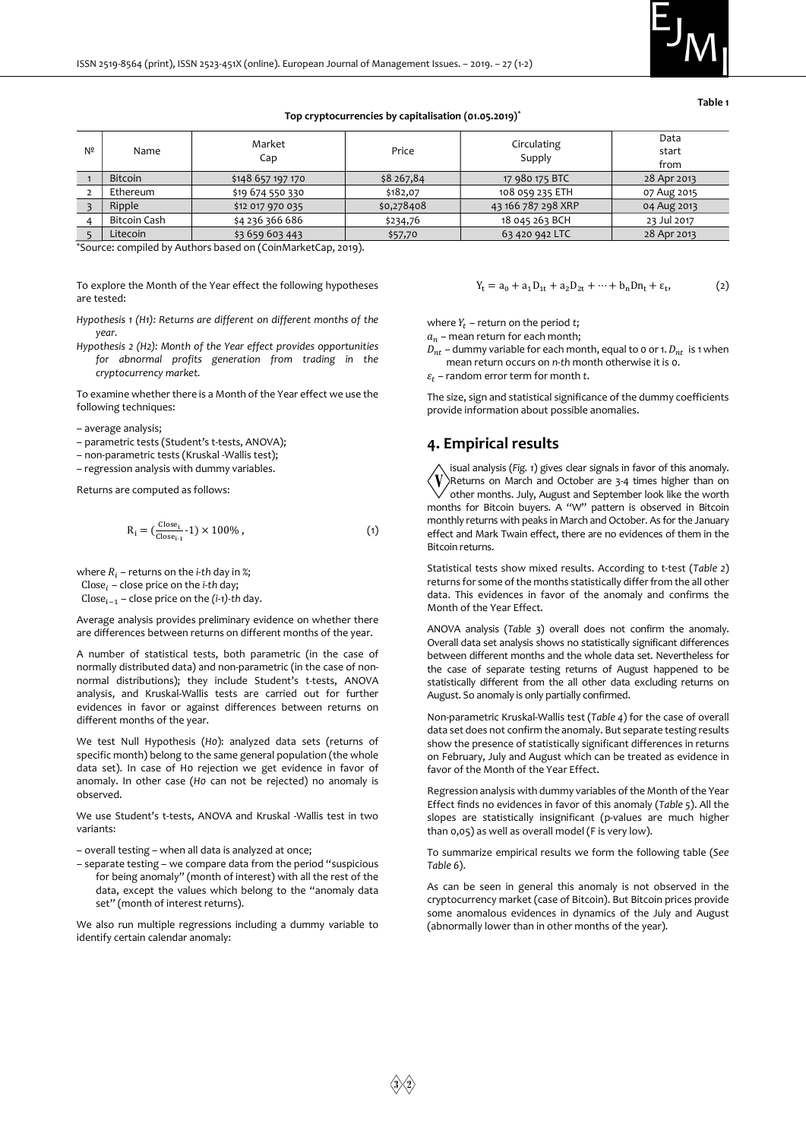

Table 1

#### Top cryptocurrencies by capitalisation (01.05.2019)\*

| $N^2$ | Name           | Market<br>Cap     | Price      | Circulating<br>Supply | Data<br>start<br>from |
|-------|----------------|-------------------|------------|-----------------------|-----------------------|
|       | <b>Bitcoin</b> | \$148 657 197 170 | \$8 267,84 | 17 980 175 BTC        | 28 Apr 2013           |
|       | Ethereum       | \$19 674 550 330  | \$182,07   | 108 059 235 ETH       | 07 Aug 2015           |
|       | Ripple         | \$12 017 970 035  | \$0,278408 | 43 166 787 298 XRP    | 04 Aug 2013           |
|       | Bitcoin Cash   | \$4 236 366 686   | \$234,76   | 18 045 263 BCH        | 23 Jul 2017           |
|       | Litecoin       | \$3 659 603 443   | \$57,70    | 63 420 942 LTC        | 28 Apr 2013           |

\*Source: compiled by Authors based on (CoinMarketCap, 2019).

To explore the Month of the Year effect the following hypotheses are tested:

- Hypothesis 1 (H1): Returns are different on different months of the year.
- Hypothesis 2 (H2): Month of the Year effect provides opportunities for abnormal profits generation from trading in the cryptocurrency market.

To examine whether there is a Month of the Year effect we use the following techniques:

– average analysis;

– parametric tests (Student's t-tests, ANOVA);

– non-parametric tests (Kruskal -Wallis test);

– regression analysis with dummy variables.

Returns are computed as follows:

$$
R_i = \left(\frac{C_{\text{lose}_i}}{C_{\text{lose}_{i-1}}} \cdot 1\right) \times 100\%,\tag{1}
$$

where  $R_i$  – returns on the *i*-th day in %; Close $_i$  – close price on the *i*-th day; Close $_{i-1}$  – close price on the (i-1)-th day.

Average analysis provides preliminary evidence on whether there are differences between returns on different months of the year.

A number of statistical tests, both parametric (in the case of normally distributed data) and non-parametric (in the case of nonnormal distributions); they include Student's t-tests, ANOVA analysis, and Kruskal-Wallis tests are carried out for further evidences in favor or against differences between returns on different months of the year.

We test Null Hypothesis (H0): analyzed data sets (returns of specific month) belong to the same general population (the whole data set). In case of H0 rejection we get evidence in favor of anomaly. In other case (Ho can not be rejected) no anomaly is observed.

We use Student's t-tests, ANOVA and Kruskal -Wallis test in two variants:

– overall testing – when all data is analyzed at once;

– separate testing – we compare data from the period "suspicious for being anomaly" (month of interest) with all the rest of the data, except the values which belong to the "anomaly data set" (month of interest returns).

We also run multiple regressions including a dummy variable to identify certain calendar anomaly:

$$
Y_t = a_0 + a_1 D_{1t} + a_2 D_{2t} + \dots + b_n D n_t + \varepsilon_t, \tag{2}
$$

where  $Y_t$  – return on the period t;

 $a_n$  – mean return for each month;

 $D_{nt}$  – dummy variable for each month, equal to 0 or 1.  $D_{nt}$  is 1 when mean return occurs on n-th month otherwise it is 0.

 $\varepsilon_t$  – random error term for month t.

The size, sign and statistical significance of the dummy coefficients provide information about possible anomalies.

#### 4. Empirical results

isual analysis (Fig. 1) gives clear signals in favor of this anomaly. Returns on March and October are 3-4 times higher than on other months. July, August and September look like the worth months for Bitcoin buyers. A "W" pattern is observed in Bitcoin monthly returns with peaks in March and October. As for the January effect and Mark Twain effect, there are no evidences of them in the Bitcoin returns.

Statistical tests show mixed results. According to t-test (Table 2) returns for some of the months statistically differ from the all other data. This evidences in favor of the anomaly and confirms the Month of the Year Effect.

ANOVA analysis (Table 3) overall does not confirm the anomaly. Overall data set analysis shows no statistically significant differences between different months and the whole data set. Nevertheless for the case of separate testing returns of August happened to be statistically different from the all other data excluding returns on August. So anomaly is only partially confirmed.

Non-parametric Kruskal-Wallis test (Table 4) for the case of overall data set does not confirm the anomaly. But separate testing results show the presence of statistically significant differences in returns on February, July and August which can be treated as evidence in favor of the Month of the Year Effect.

Regression analysis with dummy variables of the Month of the Year Effect finds no evidences in favor of this anomaly (Table 5). All the slopes are statistically insignificant (p-values are much higher than 0,05) as well as overall model (F is very low).

To summarize empirical results we form the following table (See Table 6).

As can be seen in general this anomaly is not observed in the cryptocurrency market (case of Bitcoin). But Bitcoin prices provide some anomalous evidences in dynamics of the July and August (abnormally lower than in other months of the year).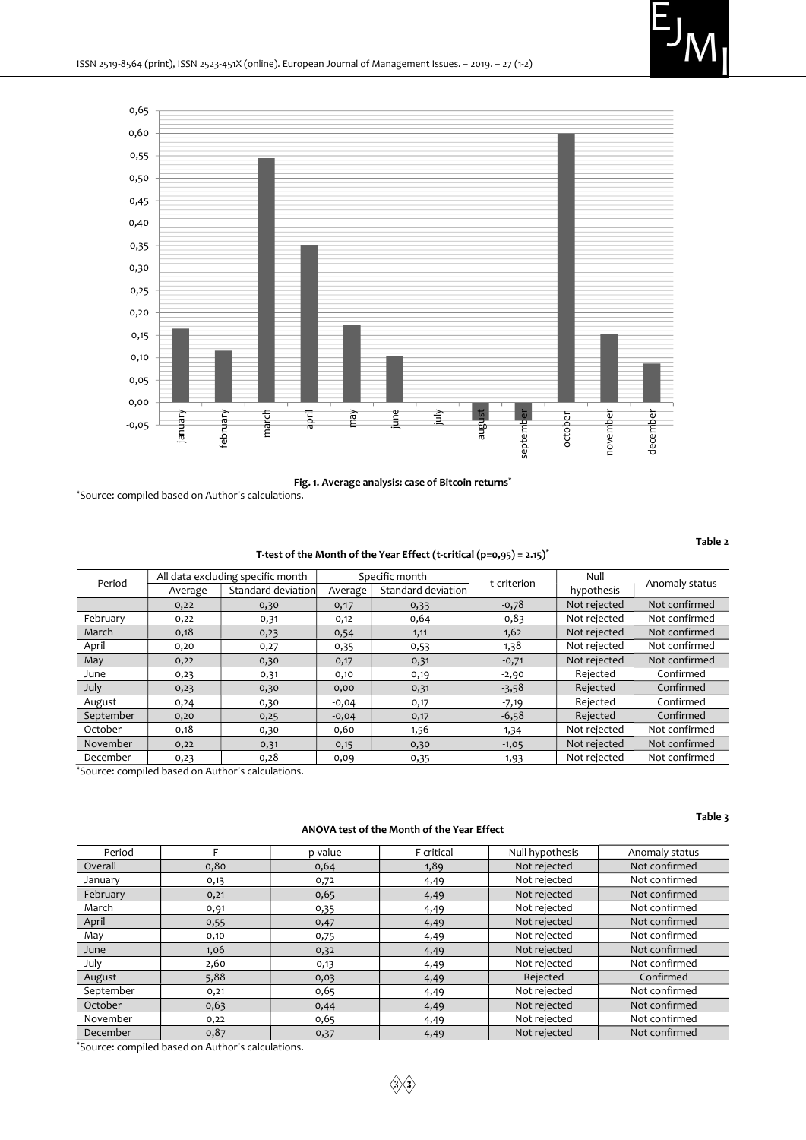

Fig. 1. Average analysis: case of Bitcoin returns<sup>\*</sup>

\*Source: compiled based on Author's calculations.

Table 2

#### T-test of the Month of the Year Effect (t-critical (p=0,95) = 2.15)<sup>\*</sup>

| Period    | All data excluding specific month |                    | Specific month |                    | t-criterion | Null         | Anomaly status |  |
|-----------|-----------------------------------|--------------------|----------------|--------------------|-------------|--------------|----------------|--|
|           | Average                           | Standard deviation | Average        | Standard deviation |             | hypothesis   |                |  |
|           | 0,22                              | 0,30               | 0,17           | 0,33               | $-0,78$     | Not rejected | Not confirmed  |  |
| February  | 0,22                              | 0,31               | 0,12           | 0,64               | $-0,83$     | Not rejected | Not confirmed  |  |
| March     | 0,18                              | 0,23               | 0,54           | 1,11               | 1,62        | Not rejected | Not confirmed  |  |
| April     | 0,20                              | 0,27               | 0,35           | 0,53               | 1,38        | Not rejected | Not confirmed  |  |
| May       | 0,22                              | 0,30               | 0,17           | 0,31               | $-0,71$     | Not rejected | Not confirmed  |  |
| June      | 0,23                              | 0,31               | 0,10           | 0,19               | $-2,90$     | Rejected     | Confirmed      |  |
| July      | 0,23                              | 0,30               | 0,00           | 0,31               | $-3,58$     | Rejected     | Confirmed      |  |
| August    | 0,24                              | 0,30               | $-0,04$        | 0,17               | $-7,19$     | Rejected     | Confirmed      |  |
| September | 0,20                              | 0,25               | $-0,04$        | 0,17               | $-6,58$     | Rejected     | Confirmed      |  |
| October   | 0,18                              | 0,30               | 0,60           | 1,56               | 1,34        | Not rejected | Not confirmed  |  |
| November  | 0,22                              | 0,31               | 0,15           | 0,30               | $-1,05$     | Not rejected | Not confirmed  |  |
| December  | 0,23                              | 0,28               | 0,09           | 0,35               | $-1,93$     | Not rejected | Not confirmed  |  |

\*Source: compiled based on Author's calculations.

#### ANOVA test of the Month of the Year Effect

Table 3

| Period    |      | p-value | F critical | Null hypothesis | Anomaly status |
|-----------|------|---------|------------|-----------------|----------------|
| Overall   | 0,80 | 0,64    | 1,89       | Not rejected    | Not confirmed  |
| January   | 0,13 | 0,72    | 4,49       | Not rejected    | Not confirmed  |
| February  | 0,21 | 0,65    | 4,49       | Not rejected    | Not confirmed  |
| March     | 0,91 | 0,35    | 4,49       | Not rejected    | Not confirmed  |
| April     | 0,55 | 0,47    | 4,49       | Not rejected    | Not confirmed  |
| May       | 0,10 | 0,75    | 4,49       | Not rejected    | Not confirmed  |
| June      | 1,06 | 0,32    | 4,49       | Not rejected    | Not confirmed  |
| July      | 2,60 | 0,13    | 4,49       | Not rejected    | Not confirmed  |
| August    | 5,88 | 0,03    | 4,49       | Rejected        | Confirmed      |
| September | 0,21 | 0,65    | 4,49       | Not rejected    | Not confirmed  |
| October   | 0,63 | 0,44    | 4,49       | Not rejected    | Not confirmed  |
| November  | 0,22 | 0,65    | 4,49       | Not rejected    | Not confirmed  |
| December  | 0,87 | 0,37    | 4,49       | Not rejected    | Not confirmed  |

\*Source: compiled based on Author's calculations.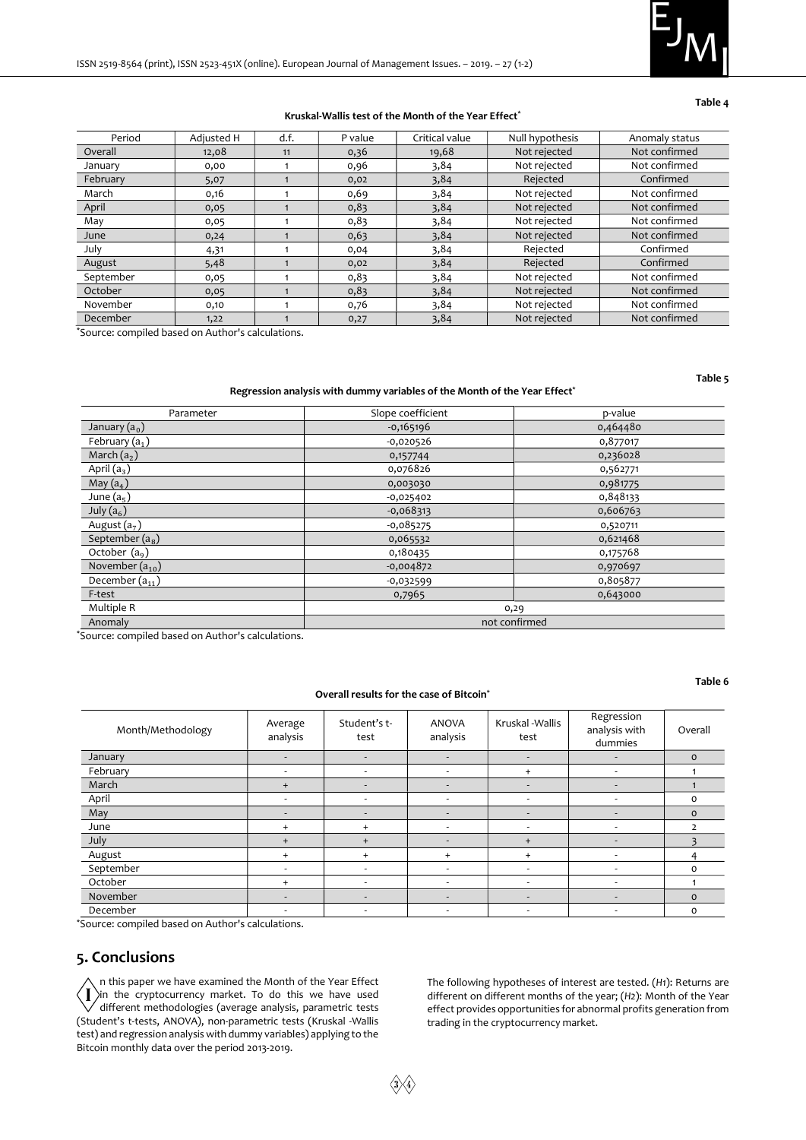

#### Table 4

#### Kruskal-Wallis test of the Month of the Year Effect\*

| Period    | Adjusted H | d.f. | P value | Critical value | Null hypothesis | Anomaly status |
|-----------|------------|------|---------|----------------|-----------------|----------------|
| Overall   | 12,08      | 11   | 0,36    | 19,68          | Not rejected    | Not confirmed  |
| January   | 0,00       |      | 0,96    | 3,84           | Not rejected    | Not confirmed  |
| February  | 5,07       |      | 0,02    | 3,84           | Rejected        | Confirmed      |
| March     | 0,16       |      | 0,69    | 3,84           | Not rejected    | Not confirmed  |
| April     | 0,05       |      | 0,83    | 3,84           | Not rejected    | Not confirmed  |
| May       | 0,05       |      | 0,83    | 3,84           | Not rejected    | Not confirmed  |
| June      | 0,24       |      | 0,63    | 3,84           | Not rejected    | Not confirmed  |
| July      | 4,31       |      | 0,04    | 3,84           | Rejected        | Confirmed      |
| August    | 5,48       |      | 0,02    | 3,84           | Rejected        | Confirmed      |
| September | 0,05       |      | 0,83    | 3,84           | Not rejected    | Not confirmed  |
| October   | 0,05       |      | 0,83    | 3,84           | Not rejected    | Not confirmed  |
| November  | 0,10       |      | 0,76    | 3,84           | Not rejected    | Not confirmed  |
| December  | 1,22       |      | 0,27    | 3,84           | Not rejected    | Not confirmed  |

\*Source: compiled based on Author's calculations.

Table 5

#### Regression analysis with dummy variables of the Month of the Year Effect<sup>\*</sup>

| Parameter           | Slope coefficient | p-value  |
|---------------------|-------------------|----------|
| January $(a_0)$     | $-0,165196$       | 0,464480 |
| February $(a_1)$    | $-0,020526$       | 0,877017 |
| March $(a_2)$       | 0,157744          | 0,236028 |
| April $(a_3)$       | 0,076826          | 0,562771 |
| May $(a_4)$         | 0,003030          | 0,981775 |
| June $(a_5)$        | $-0,025402$       | 0,848133 |
| July $(a_6)$        | $-0,068313$       | 0,606763 |
| August $(a_7)$      | $-0,085275$       | 0,520711 |
| September $(a_{8})$ | 0,065532          | 0,621468 |
| October $(a9)$      | 0,180435          | 0,175768 |
| November $(a_{10})$ | $-0,004872$       | 0,970697 |
| December $(a_{11})$ | $-0,032599$       | 0,805877 |
| F-test              | 0,7965            | 0,643000 |
| Multiple R          |                   | 0,29     |
| Anomaly             | not confirmed     |          |

\*Source: compiled based on Author's calculations.

#### Overall results for the case of Bitcoin\*

Table 6

| Month/Methodology | Average<br>analysis      | Student's t-<br>test     | <b>ANOVA</b><br>analysis | Kruskal - Wallis<br>test | Regression<br>analysis with<br>dummies | Overall      |
|-------------------|--------------------------|--------------------------|--------------------------|--------------------------|----------------------------------------|--------------|
| January           | $\overline{\phantom{0}}$ | $\overline{\phantom{0}}$ | $\overline{\phantom{a}}$ | $\overline{\phantom{a}}$ |                                        | $\circ$      |
| February          | -                        | $\overline{\phantom{a}}$ | -                        | $+$                      | $\overline{\phantom{0}}$               |              |
| March             | $+$                      | -                        | $\overline{\phantom{a}}$ | $\overline{\phantom{a}}$ | $\overline{\phantom{a}}$               |              |
| April             | $\overline{\phantom{a}}$ | ٠                        | $\overline{\phantom{a}}$ | $\overline{\phantom{a}}$ | -                                      | $\Omega$     |
| May               | $\overline{\phantom{a}}$ | $\overline{\phantom{0}}$ | $\overline{\phantom{a}}$ | $\overline{\phantom{a}}$ | -                                      | $\mathbf{O}$ |
| June              | $+$                      | $+$                      | $\overline{\phantom{a}}$ | $\overline{\phantom{a}}$ | $\overline{\phantom{0}}$               | っ            |
| July              | $+$                      | $\ddot{}$                | ۰                        | $+$                      |                                        |              |
| August            | $+$                      | $\ddot{}$                | $+$                      | $+$                      | $\overline{\phantom{a}}$               |              |
| September         | -                        | $\overline{\phantom{a}}$ |                          |                          |                                        | $\Omega$     |
| October           | $+$                      | $\overline{\phantom{a}}$ | $\overline{\phantom{a}}$ | $\overline{\phantom{a}}$ | $\overline{\phantom{a}}$               |              |
| November          | $\overline{\phantom{a}}$ | $\overline{\phantom{a}}$ | $\overline{\phantom{a}}$ | $\overline{\phantom{a}}$ | $\overline{\phantom{a}}$               | $\mathbf{O}$ |
| December          | -                        | $\overline{\phantom{0}}$ | $\overline{\phantom{a}}$ | $\overline{\phantom{a}}$ | -                                      | $\Omega$     |

\*Source: compiled based on Author's calculations.

# 5. Conclusions

n this paper we have examined the Month of the Year Effect  $\sum_{i=1}^{\infty}$  in the cryptocurrency market. To do this we have used<br>different methodologies (average analysis, parametric tests) different methodologies (average analysis, parametric tests (Student's t-tests, ANOVA), non-parametric tests (Kruskal -Wallis test) and regression analysis with dummy variables) applying to the Bitcoin monthly data over the period 2013-2019.

The following hypotheses of interest are tested. (H1): Returns are different on different months of the year; (H2): Month of the Year effect provides opportunities for abnormal profits generation from trading in the cryptocurrency market.